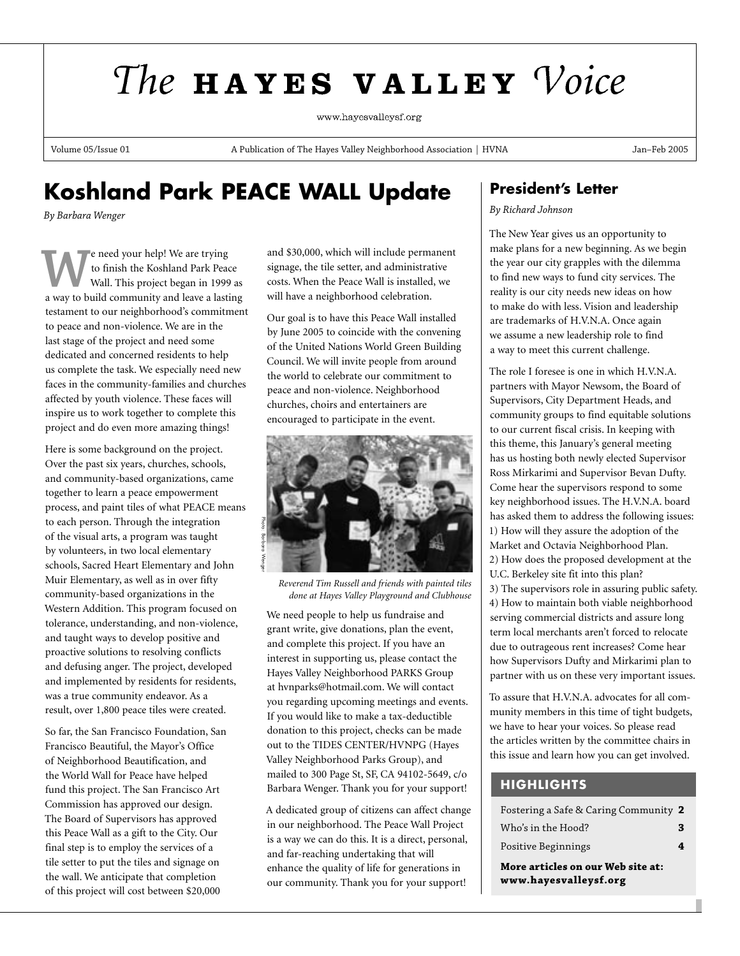# The HAYES VALLEY Voice

www.havesvallevsf.org

Volume 05/Issue 01 **A Publication of The Hayes Valley Neighborhood Association | HVNA** Jan–Feb 2005

# **Koshland Park PEACE WALL Update**

*By Barbara Wenger*

**W**e need your help! We are trying<br>to finish the Koshland Park Peace<br>wall. This project began in 1999 as<br>a way to build community and leave a lasting to finish the Koshland Park Peace Wall. This project began in 1999 as testament to our neighborhood's commitment to peace and non-violence. We are in the last stage of the project and need some dedicated and concerned residents to help us complete the task. We especially need new faces in the community-families and churches affected by youth violence. These faces will inspire us to work together to complete this project and do even more amazing things!

Here is some background on the project. Over the past six years, churches, schools, and community-based organizations, came together to learn a peace empowerment process, and paint tiles of what PEACE means to each person. Through the integration of the visual arts, a program was taught by volunteers, in two local elementary schools, Sacred Heart Elementary and John Muir Elementary, as well as in over fifty community-based organizations in the Western Addition. This program focused on tolerance, understanding, and non-violence, and taught ways to develop positive and proactive solutions to resolving conflicts and defusing anger. The project, developed and implemented by residents for residents, was a true community endeavor. As a result, over 1,800 peace tiles were created.

So far, the San Francisco Foundation, San Francisco Beautiful, the Mayor's Office of Neighborhood Beautification, and the World Wall for Peace have helped fund this project. The San Francisco Art Commission has approved our design. The Board of Supervisors has approved this Peace Wall as a gift to the City. Our final step is to employ the services of a tile setter to put the tiles and signage on the wall. We anticipate that completion of this project will cost between \$20,000

and \$30,000, which will include permanent signage, the tile setter, and administrative costs. When the Peace Wall is installed, we will have a neighborhood celebration.

Our goal is to have this Peace Wall installed by June 2005 to coincide with the convening of the United Nations World Green Building Council. We will invite people from around the world to celebrate our commitment to peace and non-violence. Neighborhood churches, choirs and entertainers are encouraged to participate in the event.



*Reverend Tim Russell and friends with painted tiles done at Hayes Valley Playground and Clubhouse*

We need people to help us fundraise and grant write, give donations, plan the event, and complete this project. If you have an interest in supporting us, please contact the Hayes Valley Neighborhood PARKS Group at hvnparks@hotmail.com. We will contact you regarding upcoming meetings and events. If you would like to make a tax-deductible donation to this project, checks can be made out to the TIDES CENTER/HVNPG (Hayes Valley Neighborhood Parks Group), and mailed to 300 Page St, SF, CA 94102-5649, c/o Barbara Wenger. Thank you for your support!

A dedicated group of citizens can affect change in our neighborhood. The Peace Wall Project is a way we can do this. It is a direct, personal, and far-reaching undertaking that will enhance the quality of life for generations in our community. Thank you for your support!

## **President's Letter**

#### *By Richard Johnson*

The New Year gives us an opportunity to make plans for a new beginning. As we begin the year our city grapples with the dilemma to find new ways to fund city services. The reality is our city needs new ideas on how to make do with less. Vision and leadership are trademarks of H.V.N.A. Once again we assume a new leadership role to find a way to meet this current challenge.

The role I foresee is one in which H.V.N.A. partners with Mayor Newsom, the Board of Supervisors, City Department Heads, and community groups to find equitable solutions to our current fiscal crisis. In keeping with this theme, this January's general meeting has us hosting both newly elected Supervisor Ross Mirkarimi and Supervisor Bevan Dufty. Come hear the supervisors respond to some key neighborhood issues. The H.V.N.A. board has asked them to address the following issues: 1) How will they assure the adoption of the Market and Octavia Neighborhood Plan. 2) How does the proposed development at the U.C. Berkeley site fit into this plan? 3) The supervisors role in assuring public safety. 4) How to maintain both viable neighborhood serving commercial districts and assure long term local merchants aren't forced to relocate due to outrageous rent increases? Come hear how Supervisors Dufty and Mirkarimi plan to partner with us on these very important issues.

To assure that H.V.N.A. advocates for all community members in this time of tight budgets, we have to hear your voices. So please read the articles written by the committee chairs in this issue and learn how you can get involved.

## **HIGHLIGHTS**

| www.hayesvalleysf.org                 |   |
|---------------------------------------|---|
| More articles on our Web site at:     |   |
| Positive Beginnings                   | 4 |
| Who's in the Hood?                    | 3 |
| Fostering a Safe & Caring Community 2 |   |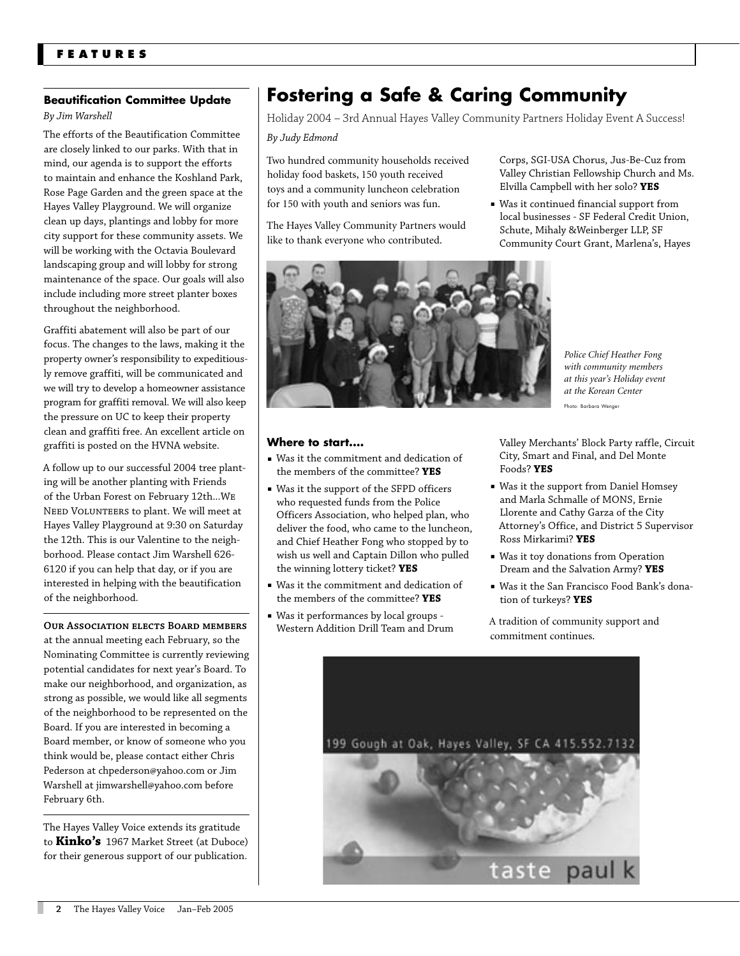## **Beautification Committee Update**

## *By Jim Warshell*

The efforts of the Beautification Committee are closely linked to our parks. With that in mind, our agenda is to support the efforts to maintain and enhance the Koshland Park, Rose Page Garden and the green space at the Hayes Valley Playground. We will organize clean up days, plantings and lobby for more city support for these community assets. We will be working with the Octavia Boulevard landscaping group and will lobby for strong maintenance of the space. Our goals will also include including more street planter boxes throughout the neighborhood.

Graffiti abatement will also be part of our focus. The changes to the laws, making it the property owner's responsibility to expeditiously remove graffiti, will be communicated and we will try to develop a homeowner assistance program for graffiti removal. We will also keep the pressure on UC to keep their property clean and graffiti free. An excellent article on graffiti is posted on the HVNA website.

A follow up to our successful 2004 tree planting will be another planting with Friends of the Urban Forest on February 12th...WE NEED VOLUNTEERS to plant. We will meet at Hayes Valley Playground at 9:30 on Saturday the 12th. This is our Valentine to the neighborhood. Please contact Jim Warshell 626- 6120 if you can help that day, or if you are interested in helping with the beautification of the neighborhood.

#### **OUR ASSOCIATION ELECTS BOARD MEMBERS**

at the annual meeting each February, so the Nominating Committee is currently reviewing potential candidates for next year's Board. To make our neighborhood, and organization, as strong as possible, we would like all segments of the neighborhood to be represented on the Board. If you are interested in becoming a Board member, or know of someone who you think would be, please contact either Chris Pederson at chpederson@yahoo.com or Jim Warshell at jimwarshell@yahoo.com before February 6th.

The Hayes Valley Voice extends its gratitude to **Kinko's** 1967 Market Street (at Duboce) for their generous support of our publication.

## **Fostering a Safe & Caring Community**

Holiday 2004 – 3rd Annual Hayes Valley Community Partners Holiday Event A Success!

*By Judy Edmond*

Two hundred community households received holiday food baskets, 150 youth received toys and a community luncheon celebration for 150 with youth and seniors was fun.

The Hayes Valley Community Partners would like to thank everyone who contributed.

Corps, SGI-USA Chorus, Jus-Be-Cuz from Valley Christian Fellowship Church and Ms. Elvilla Campbell with her solo? **YES**

■ Was it continued financial support from local businesses - SF Federal Credit Union, Schute, Mihaly &Weinberger LLP, SF Community Court Grant, Marlena's, Hayes



#### **Where to start....**

- Was it the commitment and dedication of the members of the committee? **YES**
- Was it the support of the SFPD officers who requested funds from the Police Officers Association, who helped plan, who deliver the food, who came to the luncheon, and Chief Heather Fong who stopped by to wish us well and Captain Dillon who pulled the winning lottery ticket? **YES**
- Was it the commitment and dedication of the members of the committee? **YES**
- Was it performances by local groups Western Addition Drill Team and Drum

Valley Merchants' Block Party raffle, Circuit City, Smart and Final, and Del Monte Foods? **YES**

- Was it the support from Daniel Homsey and Marla Schmalle of MONS, Ernie Llorente and Cathy Garza of the City Attorney's Office, and District 5 Supervisor Ross Mirkarimi? **YES**
- Was it toy donations from Operation Dream and the Salvation Army? **YES**
- Was it the San Francisco Food Bank's donation of turkeys? **YES**

A tradition of community support and commitment continues.

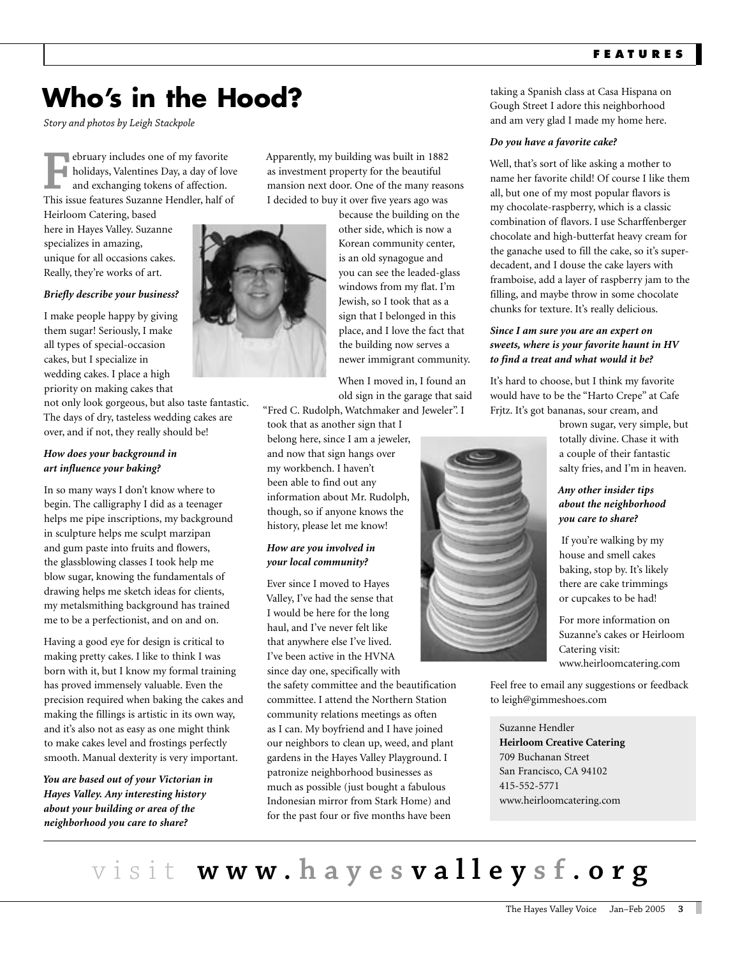# **Who's in the Hood?**

*Story and photos by Leigh Stackpole* 

**F**ebruary includes one of my favorite<br>holidays, Valentines Day, a day of low<br>and exchanging tokens of affection.<br>This issue features Suzanne Hendler, half o holidays, Valentines Day, a day of love and exchanging tokens of affection. This issue features Suzanne Hendler, half of Heirloom Catering, based

here in Hayes Valley. Suzanne specializes in amazing, unique for all occasions cakes. Really, they're works of art.

#### *Briefly describe your business?*

I make people happy by giving them sugar! Seriously, I make all types of special-occasion cakes, but I specialize in wedding cakes. I place a high priority on making cakes that

not only look gorgeous, but also taste fantastic. The days of dry, tasteless wedding cakes are over, and if not, they really should be!

### *How does your background in art influence your baking?*

In so many ways I don't know where to begin. The calligraphy I did as a teenager helps me pipe inscriptions, my background in sculpture helps me sculpt marzipan and gum paste into fruits and flowers, the glassblowing classes I took help me blow sugar, knowing the fundamentals of drawing helps me sketch ideas for clients, my metalsmithing background has trained me to be a perfectionist, and on and on.

Having a good eye for design is critical to making pretty cakes. I like to think I was born with it, but I know my formal training has proved immensely valuable. Even the precision required when baking the cakes and making the fillings is artistic in its own way, and it's also not as easy as one might think to make cakes level and frostings perfectly smooth. Manual dexterity is very important.

*You are based out of your Victorian in Hayes Valley. Any interesting history about your building or area of the neighborhood you care to share?* 

Apparently, my building was built in 1882 as investment property for the beautiful mansion next door. One of the many reasons I decided to buy it over five years ago was

> because the building on the other side, which is now a Korean community center, is an old synagogue and you can see the leaded-glass windows from my flat. I'm Jewish, so I took that as a sign that I belonged in this place, and I love the fact that the building now serves a newer immigrant community.

When I moved in, I found an old sign in the garage that said

"Fred C. Rudolph, Watchmaker and Jeweler". I took that as another sign that I

belong here, since I am a jeweler, and now that sign hangs over my workbench. I haven't been able to find out any information about Mr. Rudolph, though, so if anyone knows the history, please let me know!

## *How are you involved in your local community?*

Ever since I moved to Hayes Valley, I've had the sense that I would be here for the long haul, and I've never felt like that anywhere else I've lived. I've been active in the HVNA since day one, specifically with

the safety committee and the beautification committee. I attend the Northern Station community relations meetings as often as I can. My boyfriend and I have joined our neighbors to clean up, weed, and plant gardens in the Hayes Valley Playground. I patronize neighborhood businesses as much as possible (just bought a fabulous Indonesian mirror from Stark Home) and for the past four or five months have been

taking a Spanish class at Casa Hispana on Gough Street I adore this neighborhood and am very glad I made my home here.

#### *Do you have a favorite cake?*

Well, that's sort of like asking a mother to name her favorite child! Of course I like them all, but one of my most popular flavors is my chocolate-raspberry, which is a classic combination of flavors. I use Scharffenberger chocolate and high-butterfat heavy cream for the ganache used to fill the cake, so it's superdecadent, and I douse the cake layers with framboise, add a layer of raspberry jam to the filling, and maybe throw in some chocolate chunks for texture. It's really delicious.

## *Since I am sure you are an expert on sweets, where is your favorite haunt in HV to find a treat and what would it be?*

It's hard to choose, but I think my favorite would have to be the "Harto Crepe" at Cafe Frjtz. It's got bananas, sour cream, and

brown sugar, very simple, but totally divine. Chase it with a couple of their fantastic salty fries, and I'm in heaven.

## *Any other insider tips about the neighborhood you care to share?*

 If you're walking by my house and smell cakes baking, stop by. It's likely there are cake trimmings or cupcakes to be had!

For more information on Suzanne's cakes or Heirloom Catering visit: www.heirloomcatering.com

Feel free to email any suggestions or feedback to leigh@gimmeshoes.com

Suzanne Hendler **Heirloom Creative Catering** 709 Buchanan Street San Francisco, CA 94102 415-552-5771 www.heirloomcatering.com



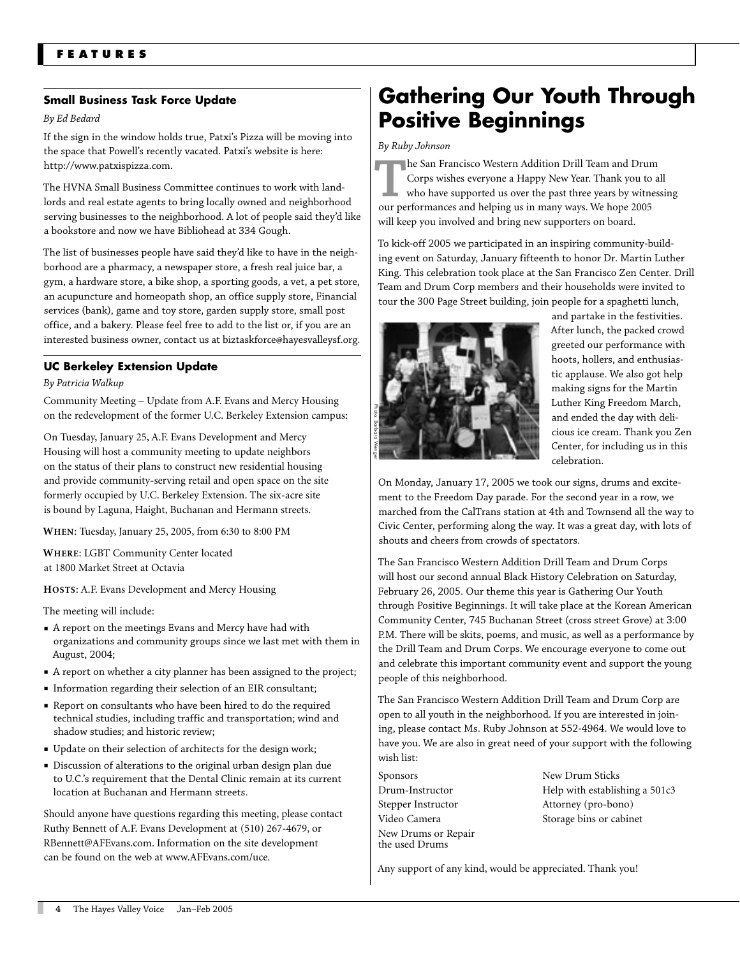## **Small Business Task Force Update**

#### *By Ed Bedard*

If the sign in the window holds true, Patxi's Pizza will be moving into the space that Powell's recently vacated. Patxi's website is here: http://www.patxispizza.com.

The HVNA Small Business Committee continues to work with landlords and real estate agents to bring locally owned and neighborhood serving businesses to the neighborhood. A lot of people said they'd like a bookstore and now we have Bibliohead at 334 Gough.

The list of businesses people have said they'd like to have in the neighborhood are a pharmacy, a newspaper store, a fresh real juice bar, a gym, a hardware store, a bike shop, a sporting goods, a vet, a pet store, an acupuncture and homeopath shop, an office supply store, Financial services (bank), game and toy store, garden supply store, small post office, and a bakery. Please feel free to add to the list or, if you are an interested business owner, contact us at biztaskforce@hayesvalleysf.org.

## **UC Berkeley Extension Update**

#### *By Patricia Walkup*

Community Meeting – Update from A.F. Evans and Mercy Housing on the redevelopment of the former U.C. Berkeley Extension campus:

On Tuesday, January 25, A.F. Evans Development and Mercy Housing will host a community meeting to update neighbors on the status of their plans to construct new residential housing and provide community-serving retail and open space on the site formerly occupied by U.C. Berkeley Extension. The six-acre site is bound by Laguna, Haight, Buchanan and Hermann streets.

**WHEN**: Tuesday, January 25, 2005, from 6:30 to 8:00 PM

**WHERE**: LGBT Community Center located at 1800 Market Street at Octavia

**HOSTS**: A.F. Evans Development and Mercy Housing

The meeting will include:

- A report on the meetings Evans and Mercy have had with organizations and community groups since we last met with them in August, 2004;
- A report on whether a city planner has been assigned to the project;
- Information regarding their selection of an EIR consultant;
- Report on consultants who have been hired to do the required technical studies, including traffic and transportation; wind and shadow studies; and historic review;
- Update on their selection of architects for the design work;
- Discussion of alterations to the original urban design plan due to U.C.'s requirement that the Dental Clinic remain at its current location at Buchanan and Hermann streets.

Should anyone have questions regarding this meeting, please contact Ruthy Bennett of A.F. Evans Development at (510) 267-4679, or RBennett@AFEvans.com. Information on the site development can be found on the web at www.AFEvans.com/uce.

# **Gathering Our Youth Through Positive Beginnings**

#### *By Ruby Johnson*

**The San Francisco Western Addition Drill Team and Drum**<br>Corps wishes everyone a Happy New Year. Thank you to a<br>who have supported us over the past three years by witnes<br>our performances and helping us in many ways. We hop Corps wishes everyone a Happy New Year. Thank you to all who have supported us over the past three years by witnessing our performances and helping us in many ways. We hope 2005 will keep you involved and bring new supporters on board.

To kick-off 2005 we participated in an inspiring community-building event on Saturday, January fifteenth to honor Dr. Martin Luther King. This celebration took place at the San Francisco Zen Center. Drill Team and Drum Corp members and their households were invited to tour the 300 Page Street building, join people for a spaghetti lunch,



and partake in the festivities. After lunch, the packed crowd greeted our performance with hoots, hollers, and enthusiastic applause. We also got help making signs for the Martin Luther King Freedom March, and ended the day with delicious ice cream. Thank you Zen Center, for including us in this celebration.

On Monday, January 17, 2005 we took our signs, drums and excitement to the Freedom Day parade. For the second year in a row, we marched from the CalTrans station at 4th and Townsend all the way to Civic Center, performing along the way. It was a great day, with lots of shouts and cheers from crowds of spectators.

The San Francisco Western Addition Drill Team and Drum Corps will host our second annual Black History Celebration on Saturday, February 26, 2005. Our theme this year is Gathering Our Youth through Positive Beginnings. It will take place at the Korean American Community Center, 745 Buchanan Street (cross street Grove) at 3:00 P.M. There will be skits, poems, and music, as well as a performance by the Drill Team and Drum Corps. We encourage everyone to come out and celebrate this important community event and support the young people of this neighborhood. any support of any kind, would be approved to any support of any support of the Freedom Day practice Center, for including celebration.<br>
Any consiste cream. The same to the Freedom Day praction at 4th and Townsend a Civic

The San Francisco Western Addition Drill Team and Drum Corp are open to all youth in the neighborhood. If you are interested in joining, please contact Ms. Ruby Johnson at 552-4964. We would love to have you. We are also in great need of your support with the following wish list:

Sponsors Drum-Instructor Stepper Instructor Video Camera New Drums or Repair the used Drums

New Drum Sticks Help with establishing a 501c3 Attorney (pro-bono) Storage bins or cabinet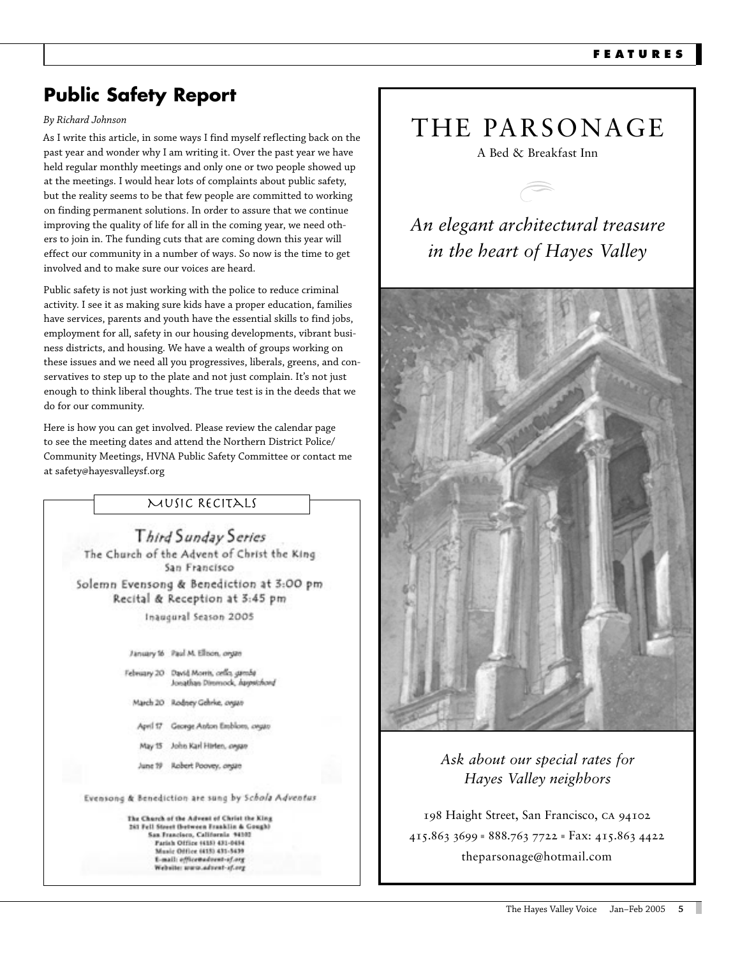# **Public Safety Report**

### By Richard Johnson

As I write this article, in some ways I find myself reflecting back on the past year and wonder why I am writing it. Over the past year we have held regular monthly meetings and only one or two people showed up at the meetings. I would hear lots of complaints about public safety, but the reality seems to be that few people are committed to working on finding permanent solutions. In order to assure that we continue improving the quality of life for all in the coming year, we need others to join in. The funding cuts that are coming down this year will effect our community in a number of ways. So now is the time to get involved and to make sure our voices are heard.

Public safety is not just working with the police to reduce criminal activity. I see it as making sure kids have a proper education, families have services, parents and youth have the essential skills to find jobs, employment for all, safety in our housing developments, vibrant business districts, and housing. We have a wealth of groups working on these issues and we need all you progressives, liberals, greens, and conservatives to step up to the plate and not just complain. It's not just enough to think liberal thoughts. The true test is in the deeds that we do for our community.

Here is how you can get involved. Please review the calendar page to see the meeting dates and attend the Northern District Police/ Community Meetings, HVNA Public Safety Committee or contact me at safety@hayesvalleysf.org

## MUSIC RECITALS

Third Sunday Series The Church of the Advent of Christ the King San Francisco Solemn Evensong & Benediction at 3:00 pm Recital & Reception at 3:45 pm Inaugural Season 2005 January 16 Paul M. Ellison, organ February 20 David Morris, cello, gamba Jonathan Dimmock, haypstchord March 20 Rodney Gehrke, organ April 17 George Anton Emblom, ovgan

- May 15 John Karl Hirten, oryan
- June 19 Robert Poovey, organ

Evensong & Benediction are sung by Schola Adventus

The Charch of the Advent of Christ the King 283 Fell Steert (between Franklin & Gough)<br>San Francisco, California 94102 Parish Office 1415) 431-0454<br>Music Office 1415) 435-5439 L-mail: effice@advent-of.org Website: www.advest-sf.org

# THE PARSONAGE

A Bed & Breakfast Inn

An elegant architectural treasure in the heart of Hayes Valley



## Ask about our special rates for Hayes Valley neighbors

198 Haight Street, San Francisco, CA 94102 415.863 3699 = 888.763 7722 = Fax: 415.863 4422 theparsonage@hotmail.com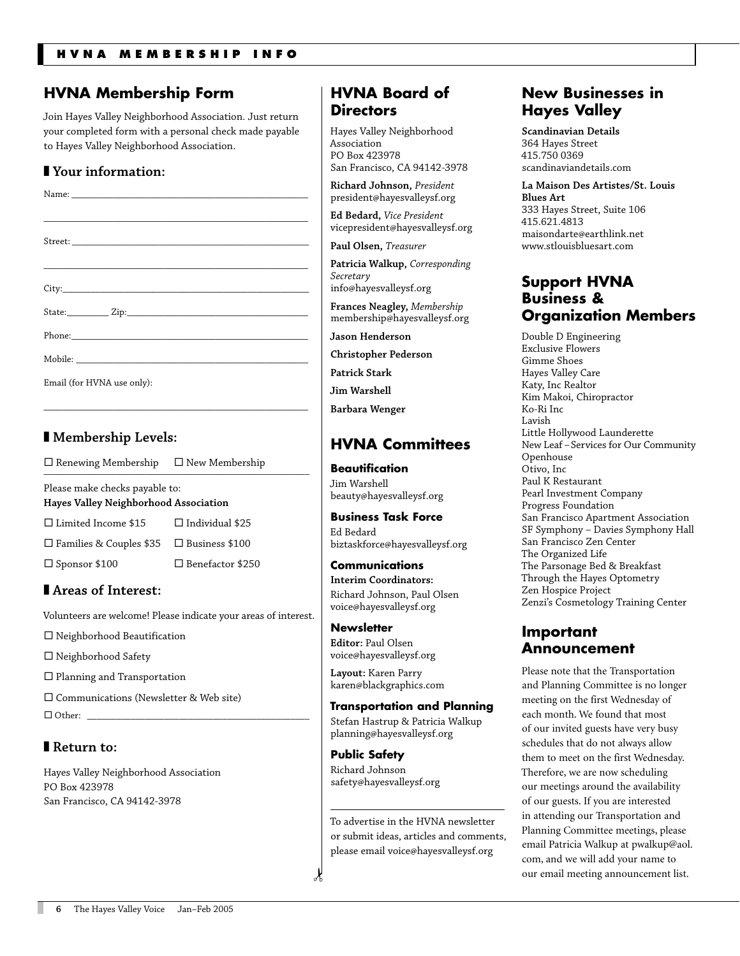## **HVNA Membership Form**

Join Hayes Valley Neighborhood Association. Just return your completed form with a personal check made payable to Hayes Valley Neighborhood Association.

## ■ **Your information:**

| Email (for HVNA use only): |
|----------------------------|

\_\_\_\_\_\_\_\_\_\_\_\_\_\_\_\_\_\_\_\_\_\_\_\_\_\_\_\_\_\_\_\_\_\_\_\_\_\_\_\_\_\_\_\_\_\_\_\_\_\_\_\_\_\_\_\_\_

## ■ **Membership Levels:**

 $\Box$  Renewing Membership  $\Box$  New Membership

Please make checks payable to: **Hayes Valley Neighborhood Association**

 $\square$  Limited Income \$15  $\square$  Individual \$25 □ Families & Couples \$35 □ Business \$100  $\Box$  Sponsor \$100  $\Box$  Benefactor \$250

## ■ **Areas of Interest:**

Volunteers are welcome! Please indicate your areas of interest.

 $\square$  Neighborhood Beautification

□ Neighborhood Safety

 $\square$  Planning and Transportation

® Communications (Newsletter & Web site)

 $\Box$  Other: \_

## ■ **Return to:**

Hayes Valley Neighborhood Association PO Box 423978 San Francisco, CA 94142-3978

## **HVNA Board of Directors**

Hayes Valley Neighborhood Association PO Box 423978 San Francisco, CA 94142-3978

**Richard Johnson,** *President* president@hayesvalleysf.org

**Ed Bedard,** *Vice President* vicepresident@hayesvalleysf.org

**Paul Olsen,** *Treasurer*

**Patricia Walkup,** *Corresponding Secretary* info@hayesvalleysf.org

**Frances Neagley,** *Membership* membership@hayesvalleysf.org

**Jason Henderson**

**Christopher Pederson**

**Patrick Stark**

**Jim Warshell**

**Barbara Wenger**

## **HVNA Committees**

## **Beautification**

Jim Warshell beauty@hayesvalleysf.org

**Business Task Force** Ed Bedard biztaskforce@hayesvalleysf.org

## **Communications Interim Coordinators:**

Richard Johnson, Paul Olsen voice@hayesvalleysf.org

**Newsletter Editor:** Paul Olsen voice@hayesvalleysf.org

**Layout:** Karen Parry karen@blackgraphics.com

## **Transportation and Planning**

Stefan Hastrup & Patricia Walkup planning@hayesvalleysf.org

**Public Safety** Richard Johnson safety@hayesvalleysf.org

 $\lambda$ 

To advertise in the HVNA newsletter or submit ideas, articles and comments, please email voice@hayesvalleysf.org

## **New Businesses in Hayes Valley**

**Scandinavian Details** 364 Hayes Street 415.750 0369 scandinaviandetails.com

**La Maison Des Artistes/St. Louis Blues Art**  333 Hayes Street, Suite 106 415.621.4813 maisondarte@earthlink.net www.stlouisbluesart.com

## **Support HVNA Business & Organization Members**

Double D Engineering Exclusive Flowers Gimme Shoes Hayes Valley Care Katy, Inc Realtor Kim Makoi, Chiropractor Ko-Ri Inc Lavish Little Hollywood Launderette New Leaf – Services for Our Community Openhouse Otivo, Inc Paul K Restaurant Pearl Investment Company Progress Foundation San Francisco Apartment Association SF Symphony – Davies Symphony Hall San Francisco Zen Center The Organized Life The Parsonage Bed & Breakfast Through the Hayes Optometry Zen Hospice Project Zenzi's Cosmetology Training Center

## **Important Announcement**

Please note that the Transportation and Planning Committee is no longer meeting on the first Wednesday of each month. We found that most of our invited guests have very busy schedules that do not always allow them to meet on the first Wednesday. Therefore, we are now scheduling our meetings around the availability of our guests. If you are interested in attending our Transportation and Planning Committee meetings, please email Patricia Walkup at pwalkup@aol. com, and we will add your name to our email meeting announcement list.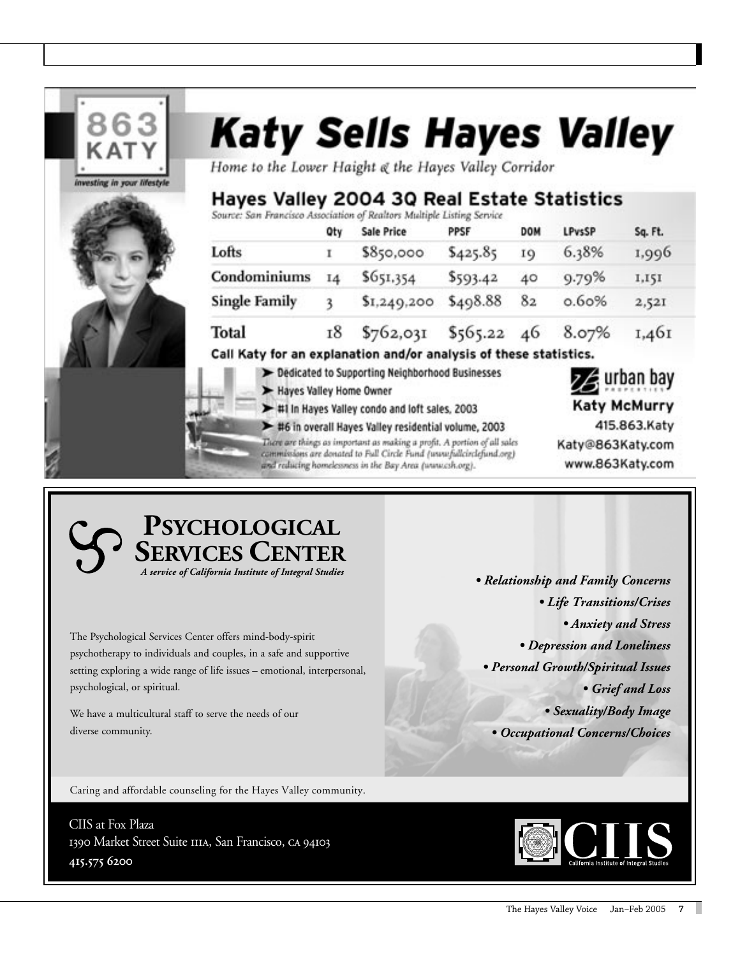

## **PSYCHOLOGICAL SERVICES CENTER** A service of California Institute of Integral Studies

The Psychological Services Center offers mind-body-spirit psychotherapy to individuals and couples, in a safe and supportive setting exploring a wide range of life issues - emotional, interpersonal, psychological, or spiritual.

We have a multicultural staff to serve the needs of our diverse community.

• Relationship and Family Concerns • Life Transitions/Crises · Anxiety and Stress • Depression and Loneliness • Personal Growth/Spiritual Issues • Grief and Loss • Sexuality/Body Image

• Occupational Concerns/Choices

Caring and affordable counseling for the Hayes Valley community.

CIIS at Fox Plaza 1390 Market Street Suite IIIA, San Francisco, CA 94103 415.575 6200